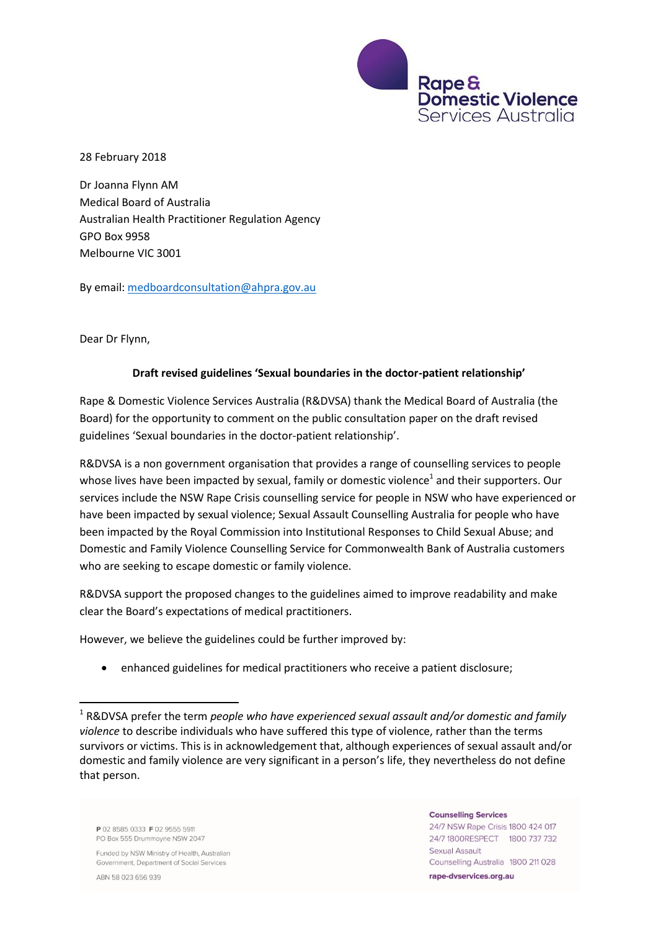

28 February 2018

Dr Joanna Flynn AM Medical Board of Australia Australian Health Practitioner Regulation Agency GPO Box 9958 Melbourne VIC 3001

By email: [medboardconsultation@ahpra.gov.au](mailto:medboardconsultation@ahpra.gov.au) 

Dear Dr Flynn,

### **Draft revised guidelines 'Sexual boundaries in the doctor-patient relationship'**

Rape & Domestic Violence Services Australia (R&DVSA) thank the Medical Board of Australia (the Board) for the opportunity to comment on the public consultation paper on the draft revised guidelines 'Sexual boundaries in the doctor-patient relationship'.

R&DVSA is a non government organisation that provides a range of counselling services to people whose lives have been impacted by sexual, family or domestic violence<sup>1</sup> and their supporters. Our services include the NSW Rape Crisis counselling service for people in NSW who have experienced or have been impacted by sexual violence; Sexual Assault Counselling Australia for people who have been impacted by the Royal Commission into Institutional Responses to Child Sexual Abuse; and Domestic and Family Violence Counselling Service for Commonwealth Bank of Australia customers who are seeking to escape domestic or family violence.

R&DVSA support the proposed changes to the guidelines aimed to improve readability and make clear the Board's expectations of medical practitioners.

However, we believe the guidelines could be further improved by:

enhanced guidelines for medical practitioners who receive a patient disclosure;

P 02 8585 0333 F 02 9555 5911 PO Box 555 Drummoyne NSW 2047

Funded by NSW Ministry of Health, Australian Government, Department of Social Services

ABN 58 023 656 939

**.** 

#### **Counselling Services**

24/7 NSW Rape Crisis 1800 424 017 24/7 1800RESPECT 1800 737 732 Sexual Assault Counselling Australia 1800 211 028 rape-dyservices.org.au

<sup>&</sup>lt;sup>1</sup> R&DVSA prefer the term *people who have experienced sexual assault and/or domestic and family violence* to describe individuals who have suffered this type of violence, rather than the terms survivors or victims. This is in acknowledgement that, although experiences of sexual assault and/or domestic and family violence are very significant in a person's life, they nevertheless do not define that person.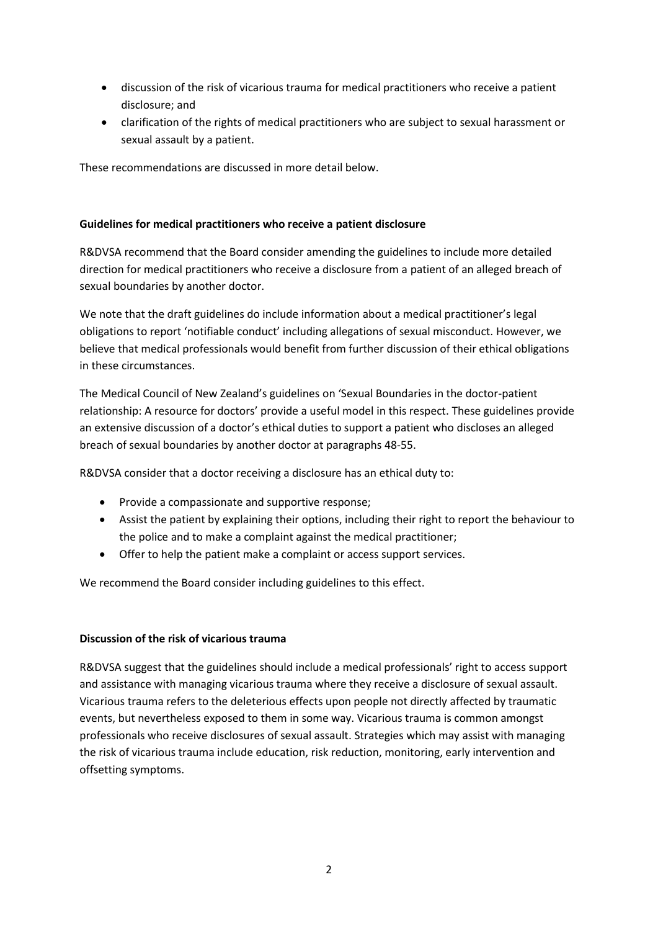- discussion of the risk of vicarious trauma for medical practitioners who receive a patient disclosure; and
- clarification of the rights of medical practitioners who are subject to sexual harassment or sexual assault by a patient.

These recommendations are discussed in more detail below.

# **Guidelines for medical practitioners who receive a patient disclosure**

R&DVSA recommend that the Board consider amending the guidelines to include more detailed direction for medical practitioners who receive a disclosure from a patient of an alleged breach of sexual boundaries by another doctor.

We note that the draft guidelines do include information about a medical practitioner's legal obligations to report 'notifiable conduct' including allegations of sexual misconduct. However, we believe that medical professionals would benefit from further discussion of their ethical obligations in these circumstances.

The Medical Council of New Zealand's guidelines on 'Sexual Boundaries in the doctor-patient relationship: A resource for doctors' provide a useful model in this respect. These guidelines provide an extensive discussion of a doctor's ethical duties to support a patient who discloses an alleged breach of sexual boundaries by another doctor at paragraphs 48-55.

R&DVSA consider that a doctor receiving a disclosure has an ethical duty to:

- Provide a compassionate and supportive response;
- Assist the patient by explaining their options, including their right to report the behaviour to the police and to make a complaint against the medical practitioner;
- Offer to help the patient make a complaint or access support services.

We recommend the Board consider including guidelines to this effect.

### **Discussion of the risk of vicarious trauma**

R&DVSA suggest that the guidelines should include a medical professionals' right to access support and assistance with managing vicarious trauma where they receive a disclosure of sexual assault. Vicarious trauma refers to the deleterious effects upon people not directly affected by traumatic events, but nevertheless exposed to them in some way. Vicarious trauma is common amongst professionals who receive disclosures of sexual assault. Strategies which may assist with managing the risk of vicarious trauma include education, risk reduction, monitoring, early intervention and offsetting symptoms.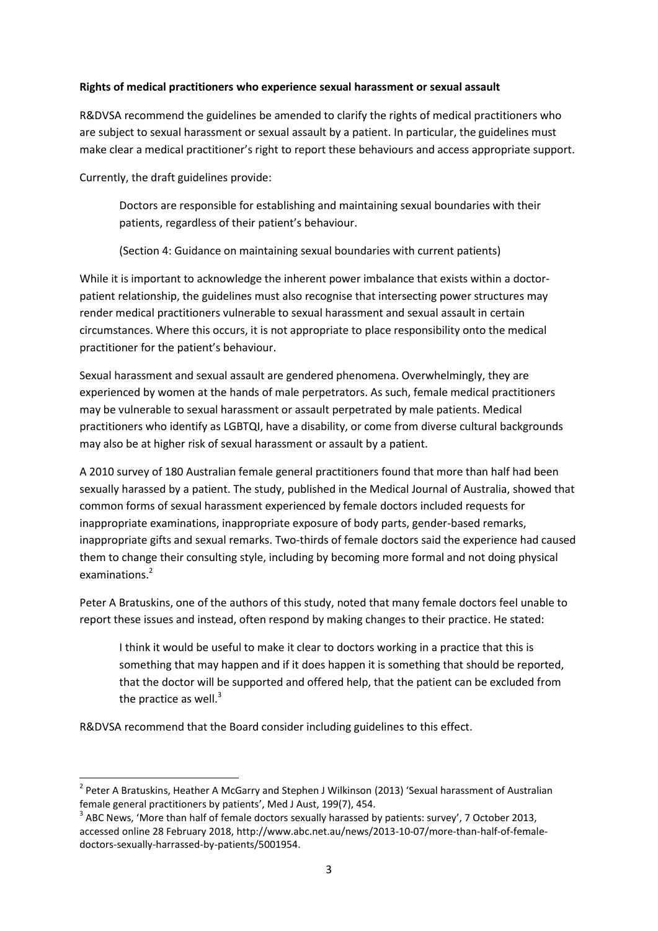# **Rights of medical practitioners who experience sexual harassment or sexual assault**

R&DVSA recommend the guidelines be amended to clarify the rights of medical practitioners who are subject to sexual harassment or sexual assault by a patient. In particular, the guidelines must make clear a medical practitioner's right to report these behaviours and access appropriate support.

Currently, the draft guidelines provide:

Doctors are responsible for establishing and maintaining sexual boundaries with their patients, regardless of their patient's behaviour.

(Section 4: Guidance on maintaining sexual boundaries with current patients)

While it is important to acknowledge the inherent power imbalance that exists within a doctorpatient relationship, the guidelines must also recognise that intersecting power structures may render medical practitioners vulnerable to sexual harassment and sexual assault in certain circumstances. Where this occurs, it is not appropriate to place responsibility onto the medical practitioner for the patient's behaviour.

Sexual harassment and sexual assault are gendered phenomena. Overwhelmingly, they are experienced by women at the hands of male perpetrators. As such, female medical practitioners may be vulnerable to sexual harassment or assault perpetrated by male patients. Medical practitioners who identify as LGBTQI, have a disability, or come from diverse cultural backgrounds may also be at higher risk of sexual harassment or assault by a patient.

A 2010 survey of 180 Australian female general practitioners found that more than half had been sexually harassed by a patient. The study, published in the Medical Journal of Australia, showed that common forms of sexual harassment experienced by female doctors included requests for inappropriate examinations, inappropriate exposure of body parts, gender-based remarks, inappropriate gifts and sexual remarks. Two-thirds of female doctors said the experience had caused them to change their consulting style, including by becoming more formal and not doing physical examinations.<sup>2</sup>

Peter A Bratuskins, one of the authors of this study, noted that many female doctors feel unable to report these issues and instead, often respond by making changes to their practice. He stated:

I think it would be useful to make it clear to doctors working in a practice that this is something that may happen and if it does happen it is something that should be reported, that the doctor will be supported and offered help, that the patient can be excluded from the practice as well. $3$ 

R&DVSA recommend that the Board consider including guidelines to this effect.

 $\overline{a}$ 

<sup>&</sup>lt;sup>2</sup> Peter A Bratuskins, Heather A McGarry and Stephen J Wilkinson (2013) 'Sexual harassment of Australian female general practitioners by patients', Med J Aust, 199(7), 454.

 $3$  ABC News, 'More than half of female doctors sexually harassed by patients: survey', 7 October 2013, accessed online 28 February 2018, http://www.abc.net.au/news/2013-10-07/more-than-half-of-femaledoctors-sexually-harrassed-by-patients/5001954.